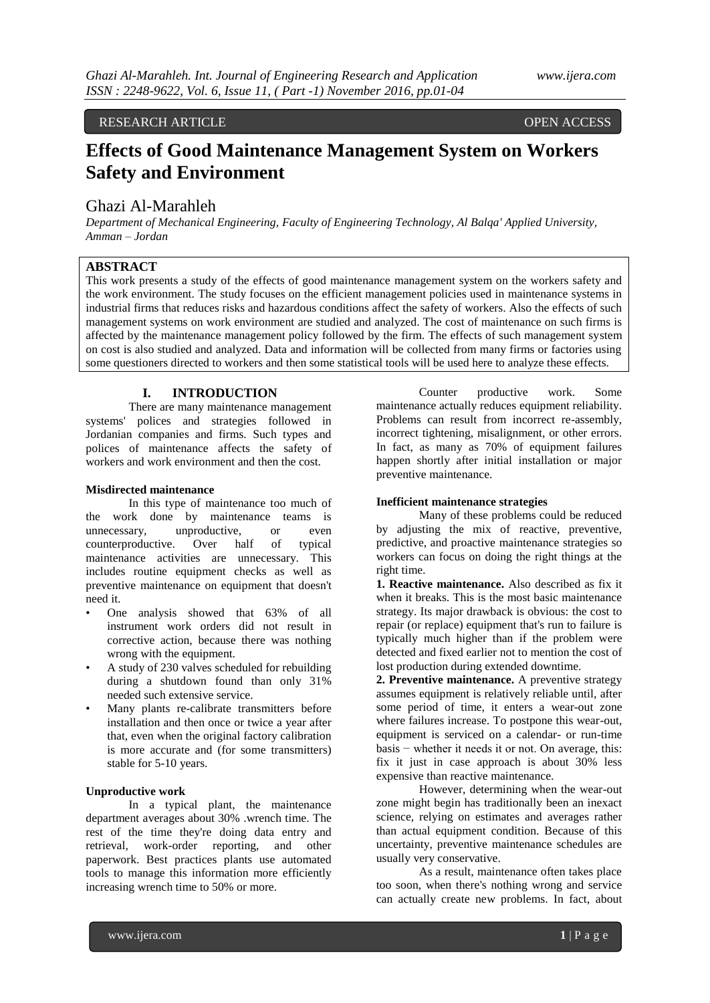# RESEARCH ARTICLE OPEN ACCESS

# **Effects of Good Maintenance Management System on Workers Safety and Environment**

# Ghazi Al-Marahleh

*Department of Mechanical Engineering, Faculty of Engineering Technology, Al Balqa' Applied University, Amman – Jordan*

# **ABSTRACT**

This work presents a study of the effects of good maintenance management system on the workers safety and the work environment. The study focuses on the efficient management policies used in maintenance systems in industrial firms that reduces risks and hazardous conditions affect the safety of workers. Also the effects of such management systems on work environment are studied and analyzed. The cost of maintenance on such firms is affected by the maintenance management policy followed by the firm. The effects of such management system on cost is also studied and analyzed. Data and information will be collected from many firms or factories using some questioners directed to workers and then some statistical tools will be used here to analyze these effects.

# **I. INTRODUCTION**

There are many maintenance management systems' polices and strategies followed in Jordanian companies and firms. Such types and polices of maintenance affects the safety of workers and work environment and then the cost.

## **Misdirected maintenance**

In this type of maintenance too much of the work done by maintenance teams is unnecessary, unproductive, or even counterproductive. Over half of typical maintenance activities are unnecessary. This includes routine equipment checks as well as preventive maintenance on equipment that doesn't need it.

- One analysis showed that 63% of all instrument work orders did not result in corrective action, because there was nothing wrong with the equipment.
- A study of 230 valves scheduled for rebuilding during a shutdown found than only 31% needed such extensive service.
- Many plants re-calibrate transmitters before installation and then once or twice a year after that, even when the original factory calibration is more accurate and (for some transmitters) stable for 5-10 years.

## **Unproductive work**

In a typical plant, the maintenance department averages about 30% .wrench time. The rest of the time they're doing data entry and retrieval, work-order reporting, and other paperwork. Best practices plants use automated tools to manage this information more efficiently increasing wrench time to 50% or more.

Counter productive work. Some maintenance actually reduces equipment reliability. Problems can result from incorrect re-assembly, incorrect tightening, misalignment, or other errors. In fact, as many as 70% of equipment failures happen shortly after initial installation or major preventive maintenance.

## **Inefficient maintenance strategies**

Many of these problems could be reduced by adjusting the mix of reactive, preventive, predictive, and proactive maintenance strategies so workers can focus on doing the right things at the right time.

**1. Reactive maintenance.** Also described as fix it when it breaks. This is the most basic maintenance strategy. Its major drawback is obvious: the cost to repair (or replace) equipment that's run to failure is typically much higher than if the problem were detected and fixed earlier not to mention the cost of lost production during extended downtime.

**2. Preventive maintenance.** A preventive strategy assumes equipment is relatively reliable until, after some period of time, it enters a wear-out zone where failures increase. To postpone this wear-out, equipment is serviced on a calendar- or run-time basis − whether it needs it or not. On average, this: fix it just in case approach is about 30% less expensive than reactive maintenance.

However, determining when the wear-out zone might begin has traditionally been an inexact science, relying on estimates and averages rather than actual equipment condition. Because of this uncertainty, preventive maintenance schedules are usually very conservative.

As a result, maintenance often takes place too soon, when there's nothing wrong and service can actually create new problems. In fact, about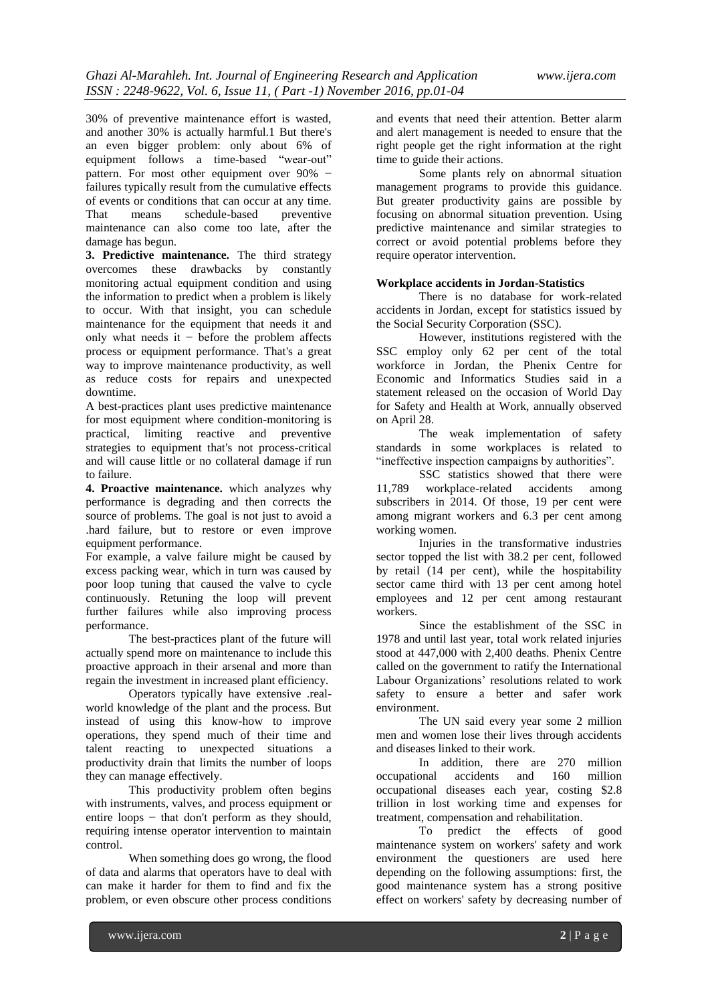30% of preventive maintenance effort is wasted, and another 30% is actually harmful.1 But there's an even bigger problem: only about 6% of equipment follows a time-based "wear-out" pattern. For most other equipment over 90% − failures typically result from the cumulative effects of events or conditions that can occur at any time. That means schedule-based preventive maintenance can also come too late, after the damage has begun.

**3. Predictive maintenance.** The third strategy overcomes these drawbacks by constantly monitoring actual equipment condition and using the information to predict when a problem is likely to occur. With that insight, you can schedule maintenance for the equipment that needs it and only what needs it − before the problem affects process or equipment performance. That's a great way to improve maintenance productivity, as well as reduce costs for repairs and unexpected downtime.

A best-practices plant uses predictive maintenance for most equipment where condition-monitoring is practical, limiting reactive and preventive strategies to equipment that's not process-critical and will cause little or no collateral damage if run to failure.

**4. Proactive maintenance.** which analyzes why performance is degrading and then corrects the source of problems. The goal is not just to avoid a .hard failure, but to restore or even improve equipment performance.

For example, a valve failure might be caused by excess packing wear, which in turn was caused by poor loop tuning that caused the valve to cycle continuously. Retuning the loop will prevent further failures while also improving process performance.

The best-practices plant of the future will actually spend more on maintenance to include this proactive approach in their arsenal and more than regain the investment in increased plant efficiency.

Operators typically have extensive .realworld knowledge of the plant and the process. But instead of using this know-how to improve operations, they spend much of their time and talent reacting to unexpected situations a productivity drain that limits the number of loops they can manage effectively.

This productivity problem often begins with instruments, valves, and process equipment or entire loops − that don't perform as they should, requiring intense operator intervention to maintain control.

When something does go wrong, the flood of data and alarms that operators have to deal with can make it harder for them to find and fix the problem, or even obscure other process conditions

and events that need their attention. Better alarm and alert management is needed to ensure that the right people get the right information at the right time to guide their actions.

Some plants rely on abnormal situation management programs to provide this guidance. But greater productivity gains are possible by focusing on abnormal situation prevention. Using predictive maintenance and similar strategies to correct or avoid potential problems before they require operator intervention.

## **Workplace accidents in Jordan-Statistics**

There is no database for work-related accidents in Jordan, except for statistics issued by the Social Security Corporation (SSC).

However, institutions registered with the SSC employ only 62 per cent of the total workforce in Jordan, the Phenix Centre for Economic and Informatics Studies said in a statement released on the occasion of World Day for Safety and Health at Work, annually observed on April 28.

The weak implementation of safety standards in some workplaces is related to "ineffective inspection campaigns by authorities".

SSC statistics showed that there were 11,789 workplace-related accidents among subscribers in 2014. Of those, 19 per cent were among migrant workers and 6.3 per cent among working women.

Injuries in the transformative industries sector topped the list with 38.2 per cent, followed by retail (14 per cent), while the hospitability sector came third with 13 per cent among hotel employees and 12 per cent among restaurant workers.

Since the establishment of the SSC in 1978 and until last year, total work related injuries stood at 447,000 with 2,400 deaths. Phenix Centre called on the government to ratify the International Labour Organizations' resolutions related to work safety to ensure a better and safer work environment.

The UN said every year some 2 million men and women lose their lives through accidents and diseases linked to their work.

In addition, there are 270 million<br>onal accidents and 160 million occupational accidents and 160 million occupational diseases each year, costing \$2.8 trillion in lost working time and expenses for treatment, compensation and rehabilitation.

To predict the effects of good maintenance system on workers' safety and work environment the questioners are used here depending on the following assumptions: first, the good maintenance system has a strong positive effect on workers' safety by decreasing number of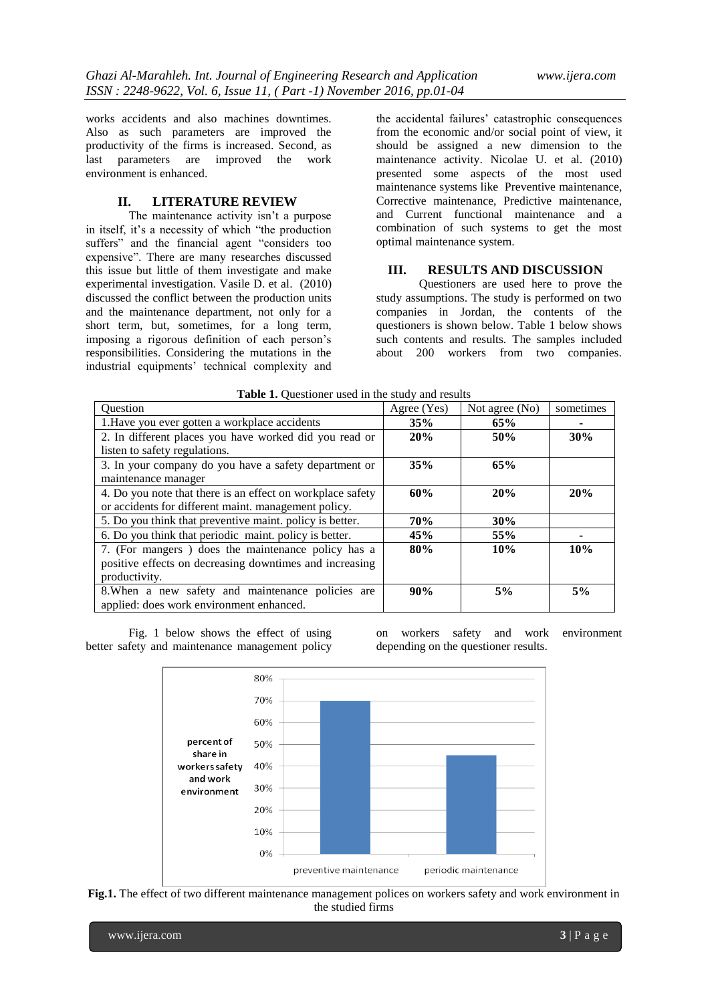works accidents and also machines downtimes. Also as such parameters are improved the productivity of the firms is increased. Second, as last parameters are improved the work environment is enhanced.

# **II. LITERATURE REVIEW**

The maintenance activity isn't a purpose in itself, it's a necessity of which "the production suffers" and the financial agent "considers too expensive". There are many researches discussed this issue but little of them investigate and make experimental investigation. Vasile D. et al. (2010) discussed the conflict between the production units and the maintenance department, not only for a short term, but, sometimes, for a long term, imposing a rigorous definition of each person's responsibilities. Considering the mutations in the industrial equipments' technical complexity and the accidental failures' catastrophic consequences from the economic and/or social point of view, it should be assigned a new dimension to the maintenance activity. Nicolae U. et al. (2010) presented some aspects of the most used maintenance systems like Preventive maintenance, Corrective maintenance, Predictive maintenance, and Current functional maintenance and a combination of such systems to get the most optimal maintenance system.

# **III. RESULTS AND DISCUSSION**

Questioners are used here to prove the study assumptions. The study is performed on two companies in Jordan, the contents of the questioners is shown below. Table 1 below shows such contents and results. The samples included about 200 workers from two companies.

| Question                                                   | Agree (Yes) | Not agree $(No)$ | sometimes |
|------------------------------------------------------------|-------------|------------------|-----------|
| 1. Have you ever gotten a workplace accidents              | 35%         | 65%              |           |
| 2. In different places you have worked did you read or     | 20%         | 50%              | 30%       |
| listen to safety regulations.                              |             |                  |           |
| 3. In your company do you have a safety department or      | 35%         | 65%              |           |
| maintenance manager                                        |             |                  |           |
| 4. Do you note that there is an effect on workplace safety | 60%         | 20%              | 20%       |
| or accidents for different maint. management policy.       |             |                  |           |
| 5. Do you think that preventive maint. policy is better.   | 70%         | 30%              |           |
| 6. Do you think that periodic maint. policy is better.     | 45%         | 55%              |           |
| 7. (For mangers) does the maintenance policy has a         | 80%         | 10%              | 10%       |
| positive effects on decreasing downtimes and increasing    |             |                  |           |
| productivity.                                              |             |                  |           |
| 8. When a new safety and maintenance policies are          | 90%         | 5%               | 5%        |
| applied: does work environment enhanced.                   |             |                  |           |

| Table 1. Questioner used in the study and results |  |  |  |  |  |
|---------------------------------------------------|--|--|--|--|--|
|---------------------------------------------------|--|--|--|--|--|

Fig. 1 below shows the effect of using better safety and maintenance management policy on workers safety and work environment depending on the questioner results.